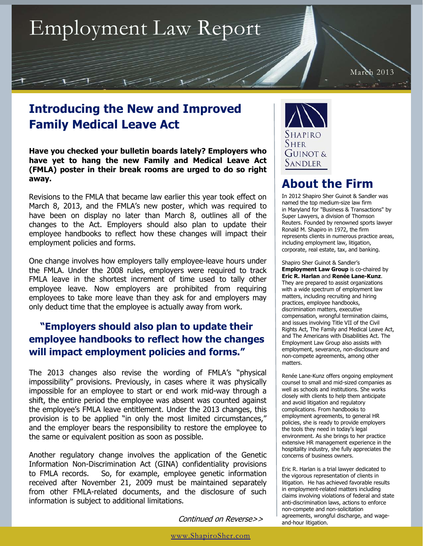## Employment Law Report

March 2013

## **Introducing the New and Improved Family Medical Leave Act**

**Have you checked your bulletin boards lately? Employers who have yet to hang the new Family and Medical Leave Act (FMLA) poster in their break rooms are urged to do so right away.** 

Revisions to the FMLA that became law earlier this year took effect on March 8, 2013, and the FMLA's new poster, which was required to have been on display no later than March 8, outlines all of the changes to the Act. Employers should also plan to update their employee handbooks to reflect how these changes will impact their employment policies and forms.

One change involves how employers tally employee-leave hours under the FMLA. Under the 2008 rules, employers were required to track FMLA leave in the shortest increment of time used to tally other employee leave. Now employers are prohibited from requiring employees to take more leave than they ask for and employers may only deduct time that the employee is actually away from work.

## **"Employers should also plan to update their employee handbooks to reflect how the changes will impact employment policies and forms."**

The 2013 changes also revise the wording of FMLA's "physical impossibility" provisions. Previously, in cases where it was physically impossible for an employee to start or end work mid-way through a shift, the entire period the employee was absent was counted against the employee's FMLA leave entitlement. Under the 2013 changes, this provision is to be applied "in only the most limited circumstances," and the employer bears the responsibility to restore the employee to the same or equivalent position as soon as possible.

Another regulatory change involves the application of the Genetic Information Non-Discrimination Act (GINA) confidentiality provisions to FMLA records. So, for example, employee genetic information received after November 21, 2009 must be maintained separately from other FMLA-related documents, and the disclosure of such information is subject to additional limitations.

Continued on Reverse>>



## **About the Firm**

In 2012 Shapiro Sher Guinot & Sandler was named the top medium-size law firm in Maryland for "Business & Transactions" by Super Lawyers, a division of Thomson Reuters. Founded by renowned sports lawyer Ronald M. Shapiro in 1972, the firm represents clients in numerous practice areas, including employment law, litigation, corporate, real estate, tax, and banking.

Shapiro Sher Guinot & Sandler's **Employment Law Group** is co-chaired by **Eric R. Harlan** and **Renée Lane-Kunz**. They are prepared to assist organizations with a wide spectrum of employment law matters, including recruiting and hiring practices, employee handbooks, discrimination matters, executive compensation, wrongful termination claims, and issues involving Title VII of the Civil Rights Act, The Family and Medical Leave Act, and The Americans with Disabilities Act. The Employment Law Group also assists with employment, severance, non-disclosure and non-compete agreements, among other matters.

Renée Lane-Kunz offers ongoing employment counsel to small and mid-sized companies as well as schools and institutions. She works closely with clients to help them anticipate and avoid litigation and regulatory complications. From handbooks to employment agreements, to general HR policies, she is ready to provide employers the tools they need in today's legal environment. As she brings to her practice extensive HR management experience in the hospitality industry, she fully appreciates the concerns of business owners.

Eric R. Harlan is a trial lawyer dedicated to the vigorous representation of clients in litigation. He has achieved favorable results in employment-related matters including claims involving violations of federal and state anti-discrimination laws, actions to enforce non-compete and non-solicitation agreements, wrongful discharge, and wageand-hour litigation.